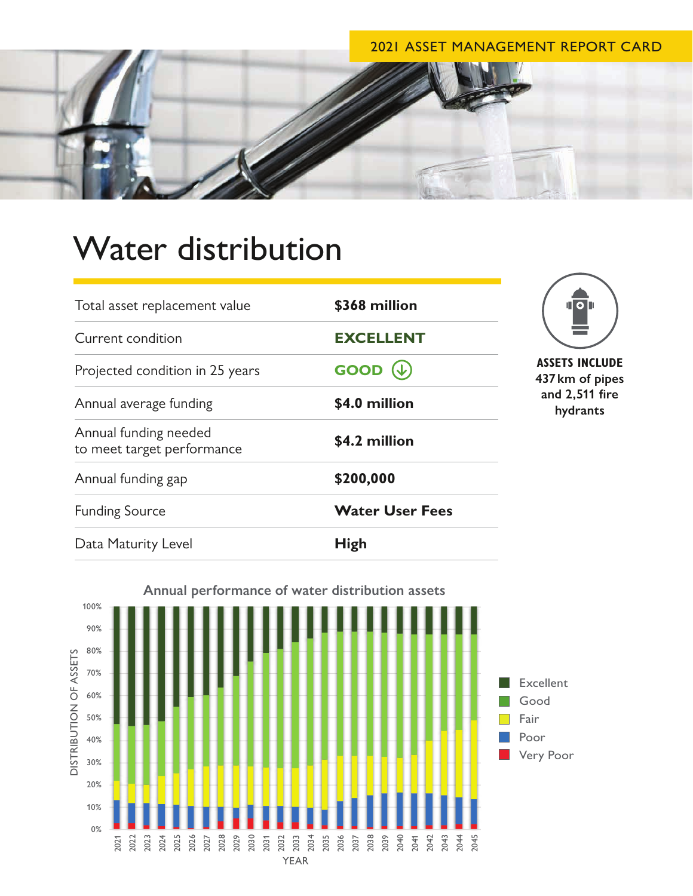## 2021 ASSET MANAGEMENT REPORT CARD



## Water distribution

| Total asset replacement value                       | \$368 million          | ПО∏                                                                    |
|-----------------------------------------------------|------------------------|------------------------------------------------------------------------|
| Current condition                                   | <b>EXCELLENT</b>       |                                                                        |
| Projected condition in 25 years                     | <b>GOOD</b>            | <b>ASSETS INCLUDE</b><br>437 km of pipes<br>and 2,511 fire<br>hydrants |
| Annual average funding                              | \$4.0 million          |                                                                        |
| Annual funding needed<br>to meet target performance | \$4.2 million          |                                                                        |
| Annual funding gap                                  | \$200,000              |                                                                        |
| <b>Funding Source</b>                               | <b>Water User Fees</b> |                                                                        |
| Data Maturity Level                                 | <b>High</b>            |                                                                        |